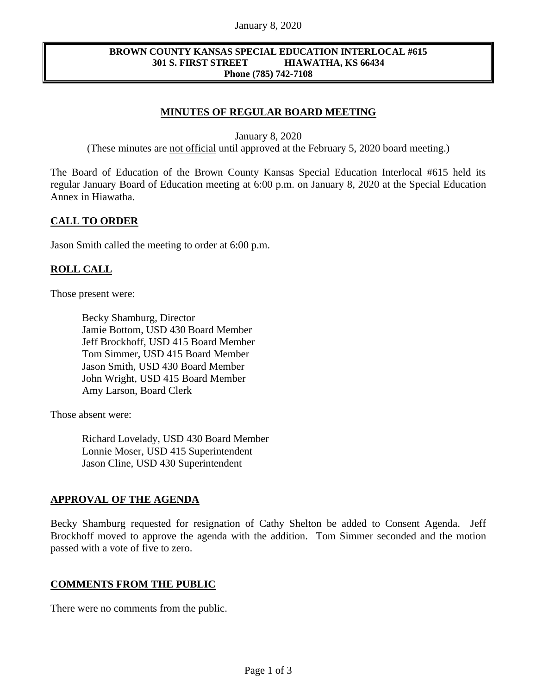#### January 8, 2020

#### **BROWN COUNTY KANSAS SPECIAL EDUCATION INTERLOCAL #615 301 S. FIRST STREET HIAWATHA, KS 66434 Phone (785) 742-7108**

# **MINUTES OF REGULAR BOARD MEETING**

January 8, 2020

(These minutes are not official until approved at the February 5, 2020 board meeting.)

The Board of Education of the Brown County Kansas Special Education Interlocal #615 held its regular January Board of Education meeting at 6:00 p.m. on January 8, 2020 at the Special Education Annex in Hiawatha.

## **CALL TO ORDER**

Jason Smith called the meeting to order at 6:00 p.m.

## **ROLL CALL**

Those present were:

Becky Shamburg, Director Jamie Bottom, USD 430 Board Member Jeff Brockhoff, USD 415 Board Member Tom Simmer, USD 415 Board Member Jason Smith, USD 430 Board Member John Wright, USD 415 Board Member Amy Larson, Board Clerk

Those absent were:

Richard Lovelady, USD 430 Board Member Lonnie Moser, USD 415 Superintendent Jason Cline, USD 430 Superintendent

# **APPROVAL OF THE AGENDA**

Becky Shamburg requested for resignation of Cathy Shelton be added to Consent Agenda. Jeff Brockhoff moved to approve the agenda with the addition. Tom Simmer seconded and the motion passed with a vote of five to zero.

#### **COMMENTS FROM THE PUBLIC**

There were no comments from the public.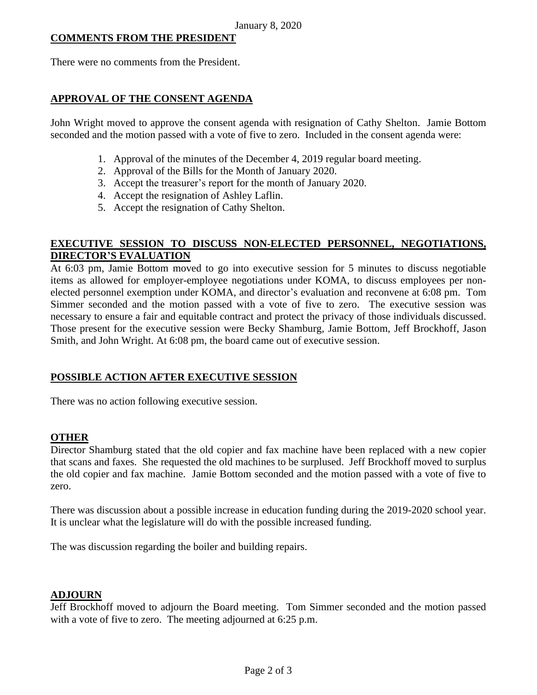## **COMMENTS FROM THE PRESIDENT**

There were no comments from the President.

## **APPROVAL OF THE CONSENT AGENDA**

John Wright moved to approve the consent agenda with resignation of Cathy Shelton. Jamie Bottom seconded and the motion passed with a vote of five to zero. Included in the consent agenda were:

- 1. Approval of the minutes of the December 4, 2019 regular board meeting.
- 2. Approval of the Bills for the Month of January 2020.
- 3. Accept the treasurer's report for the month of January 2020.
- 4. Accept the resignation of Ashley Laflin.
- 5. Accept the resignation of Cathy Shelton.

## **EXECUTIVE SESSION TO DISCUSS NON-ELECTED PERSONNEL, NEGOTIATIONS, DIRECTOR'S EVALUATION**

At 6:03 pm, Jamie Bottom moved to go into executive session for 5 minutes to discuss negotiable items as allowed for employer-employee negotiations under KOMA, to discuss employees per nonelected personnel exemption under KOMA, and director's evaluation and reconvene at 6:08 pm. Tom Simmer seconded and the motion passed with a vote of five to zero. The executive session was necessary to ensure a fair and equitable contract and protect the privacy of those individuals discussed. Those present for the executive session were Becky Shamburg, Jamie Bottom, Jeff Brockhoff, Jason Smith, and John Wright. At 6:08 pm, the board came out of executive session.

# **POSSIBLE ACTION AFTER EXECUTIVE SESSION**

There was no action following executive session.

#### **OTHER**

Director Shamburg stated that the old copier and fax machine have been replaced with a new copier that scans and faxes. She requested the old machines to be surplused. Jeff Brockhoff moved to surplus the old copier and fax machine. Jamie Bottom seconded and the motion passed with a vote of five to zero.

There was discussion about a possible increase in education funding during the 2019-2020 school year. It is unclear what the legislature will do with the possible increased funding.

The was discussion regarding the boiler and building repairs.

#### **ADJOURN**

Jeff Brockhoff moved to adjourn the Board meeting. Tom Simmer seconded and the motion passed with a vote of five to zero. The meeting adjourned at 6:25 p.m.